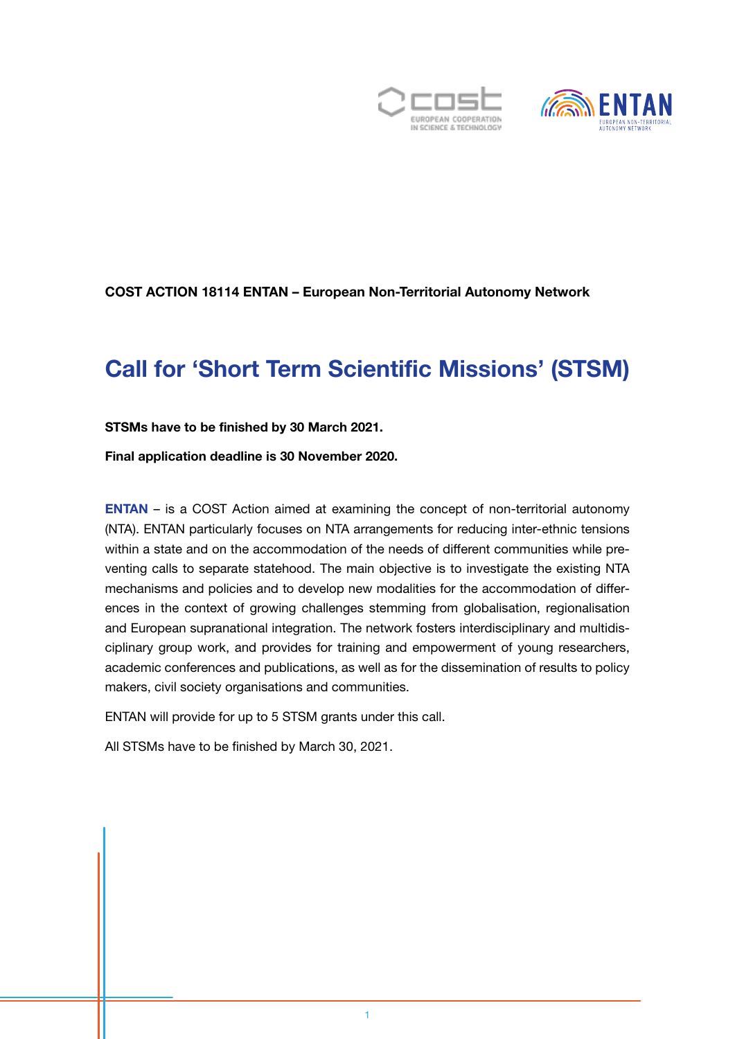



### COST ACTION 18114 ENTAN – European Non-Territorial Autonomy Network

## Call for 'Short Term Scientific Missions' (STSM)

#### STSMs have to be finished by 30 March 2021.

Final application deadline is 30 November 2020.

[ENTAN](https://entan.org/) – is a COST Action aimed at examining the concept of non-territorial autonomy (NTA). ENTAN particularly focuses on NTA arrangements for reducing inter-ethnic tensions within a state and on the accommodation of the needs of different communities while preventing calls to separate statehood. The main objective is to investigate the existing NTA mechanisms and policies and to develop new modalities for the accommodation of differences in the context of growing challenges stemming from globalisation, regionalisation and European supranational integration. The network fosters interdisciplinary and multidisciplinary group work, and provides for training and empowerment of young researchers, academic conferences and publications, as well as for the dissemination of results to policy makers, civil society organisations and communities.

ENTAN will provide for up to 5 STSM grants under this call.

All STSMs have to be finished by March 30, 2021.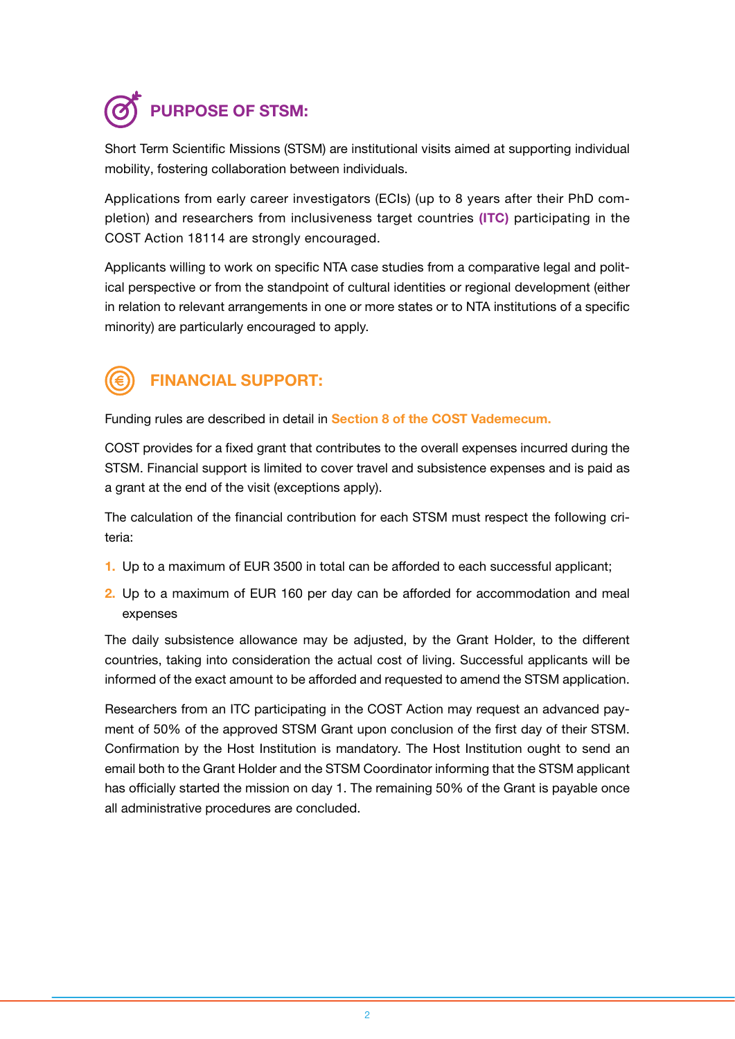# PURPOSE OF STSM:

Short Term Scientific Missions (STSM) are institutional visits aimed at supporting individual mobility, fostering collaboration between individuals.

Applications from early career investigators (ECIs) (up to 8 years after their PhD completion) and researchers from inclusiveness target countries (ITC) participating in the COST Action 18114 are strongly encouraged.

Applicants willing to work on specific NTA case studies from a comparative legal and political perspective or from the standpoint of cultural identities or regional development (either in relation to relevant arrangements in one or more states or to NTA institutions of a specific minority) are particularly encouraged to apply.



## FINANCIAL SUPPORT:

Funding rules are described in detail in [Section 8 of the COST Vademecum.](https://www.cost.eu/wp-content/uploads/2020/05/Vademecum-V8-1-May-2020.pdf)

COST provides for a fixed grant that contributes to the overall expenses incurred during the STSM. Financial support is limited to cover travel and subsistence expenses and is paid as a grant at the end of the visit (exceptions apply).

The calculation of the financial contribution for each STSM must respect the following criteria:

- 1. Up to a maximum of EUR 3500 in total can be afforded to each successful applicant;
- 2. Up to a maximum of EUR 160 per day can be afforded for accommodation and meal expenses

The daily subsistence allowance may be adjusted, by the Grant Holder, to the different countries, taking into consideration the actual cost of living. Successful applicants will be informed of the exact amount to be afforded and requested to amend the STSM application.

Researchers from an ITC participating in the COST Action may request an advanced payment of 50% of the approved STSM Grant upon conclusion of the first day of their STSM. Confirmation by the Host Institution is mandatory. The Host Institution ought to send an email both to the Grant Holder and the STSM Coordinator informing that the STSM applicant has officially started the mission on day 1. The remaining 50% of the Grant is payable once all administrative procedures are concluded.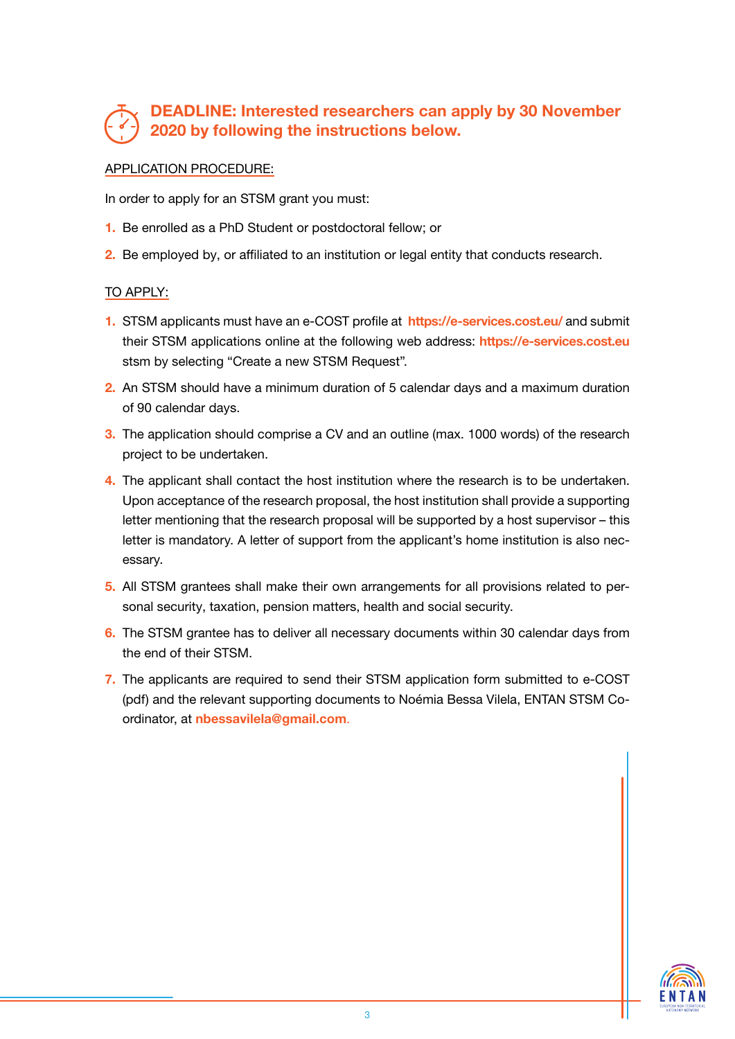### DEADLINE: Interested researchers can apply by 30 November 2020 by following the instructions below.

#### APPLICATION PROCEDURE:

In order to apply for an STSM grant you must:

- 1. Be enrolled as a PhD Student or postdoctoral fellow; or
- 2. Be employed by, or affiliated to an institution or legal entity that conducts research.

#### TO APPLY:

- 1. STSM applicants must have an e-COST profile at https://e-services.cost.eu/ and submit their STSM applications online at the following web address: https://e-services.cost.eu stsm by selecting "Create a new STSM Request".
- 2. An STSM should have a minimum duration of 5 calendar days and a maximum duration of 90 calendar days.
- 3. The application should comprise a CV and an outline (max. 1000 words) of the research project to be undertaken.
- 4. The applicant shall contact the host institution where the research is to be undertaken. Upon acceptance of the research proposal, the host institution shall provide a supporting letter mentioning that the research proposal will be supported by a host supervisor – this letter is mandatory. A letter of support from the applicant's home institution is also necessary.
- 5. All STSM grantees shall make their own arrangements for all provisions related to personal security, taxation, pension matters, health and social security.
- 6. The STSM grantee has to deliver all necessary documents within 30 calendar days from the end of their STSM.
- 7. The applicants are required to send their STSM application form submitted to e-COST (pdf) and the relevant supporting documents to Noémia Bessa Vilela, ENTAN STSM Coordinator, at nbessavilela@gmail.com.

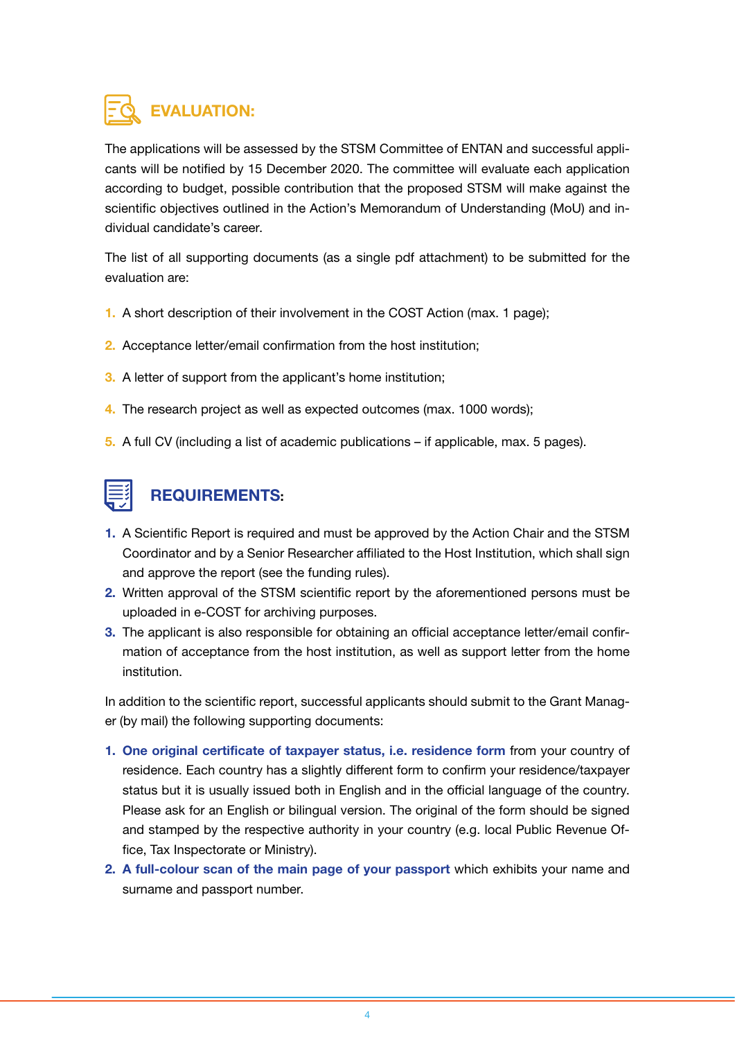## EVALUATION:

The applications will be assessed by the STSM Committee of ENTAN and successful applicants will be notified by 15 December 2020. The committee will evaluate each application according to budget, possible contribution that the proposed STSM will make against the scientific objectives outlined in the Action's Memorandum of Understanding (MoU) and individual candidate's career.

The list of all supporting documents (as a single pdf attachment) to be submitted for the evaluation are:

- 1. A short description of their involvement in the COST Action (max. 1 page);
- 2. Acceptance letter/email confirmation from the host institution;
- 3. A letter of support from the applicant's home institution;
- 4. The research project as well as expected outcomes (max. 1000 words);
- 5. A full CV (including a list of academic publications if applicable, max. 5 pages).



## REQUIREMENTS:

- 1. A Scientific Report is required and must be approved by the Action Chair and the STSM Coordinator and by a Senior Researcher affiliated to the Host Institution, which shall sign and approve the report (see the funding rules).
- 2. Written approval of the STSM scientific report by the aforementioned persons must be uploaded in e-COST for archiving purposes.
- 3. The applicant is also responsible for obtaining an official acceptance letter/email confirmation of acceptance from the host institution, as well as support letter from the home institution.

In addition to the scientific report, successful applicants should submit to the Grant Manager (by mail) the following supporting documents:

- 1. One original certificate of taxpayer status, i.e. residence form from your country of residence. Each country has a slightly different form to confirm your residence/taxpayer status but it is usually issued both in English and in the official language of the country. Please ask for an English or bilingual version. The original of the form should be signed and stamped by the respective authority in your country (e.g. local Public Revenue Office, Tax Inspectorate or Ministry).
- 2. A full-colour scan of the main page of your passport which exhibits your name and surname and passport number.